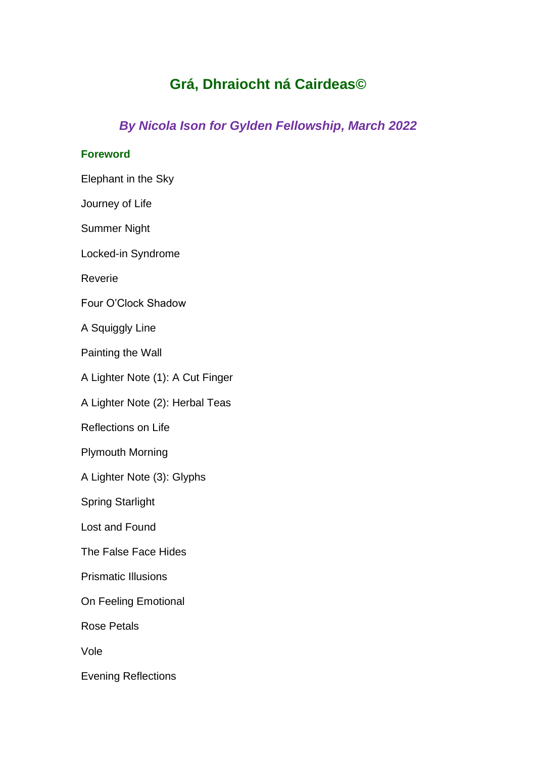## **Grá, Dhraiocht ná Cairdeas©**

## *By Nicola Ison for Gylden Fellowship, March 2022*

## **Foreword**

Elephant in the Sky

Journey of Life

Summer Night

Locked-in Syndrome

Reverie

Four O'Clock Shadow

A Squiggly Line

Painting the Wall

A Lighter Note (1): A Cut Finger

A Lighter Note (2): Herbal Teas

Reflections on Life

Plymouth Morning

A Lighter Note (3): Glyphs

Spring Starlight

Lost and Found

The False Face Hides

Prismatic Illusions

On Feeling Emotional

Rose Petals

Vole

Evening Reflections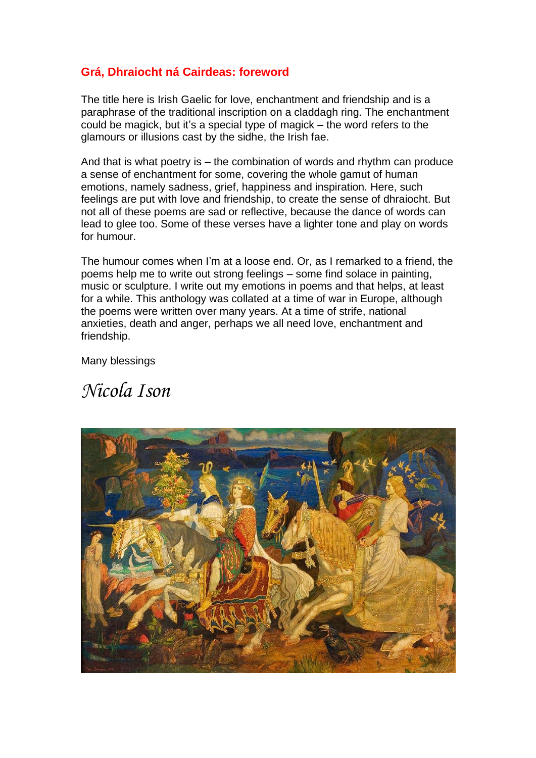## **Grá, Dhraiocht ná Cairdeas: foreword**

The title here is Irish Gaelic for love, enchantment and friendship and is a paraphrase of the traditional inscription on a claddagh ring. The enchantment could be magick, but it's a special type of magick – the word refers to the glamours or illusions cast by the sidhe, the Irish fae.

And that is what poetry is – the combination of words and rhythm can produce a sense of enchantment for some, covering the whole gamut of human emotions, namely sadness, grief, happiness and inspiration. Here, such feelings are put with love and friendship, to create the sense of dhraiocht. But not all of these poems are sad or reflective, because the dance of words can lead to glee too. Some of these verses have a lighter tone and play on words for humour.

The humour comes when I'm at a loose end. Or, as I remarked to a friend, the poems help me to write out strong feelings – some find solace in painting, music or sculpture. I write out my emotions in poems and that helps, at least for a while. This anthology was collated at a time of war in Europe, although the poems were written over many years. At a time of strife, national anxieties, death and anger, perhaps we all need love, enchantment and friendship.

Many blessings

# *Nicola Ison*

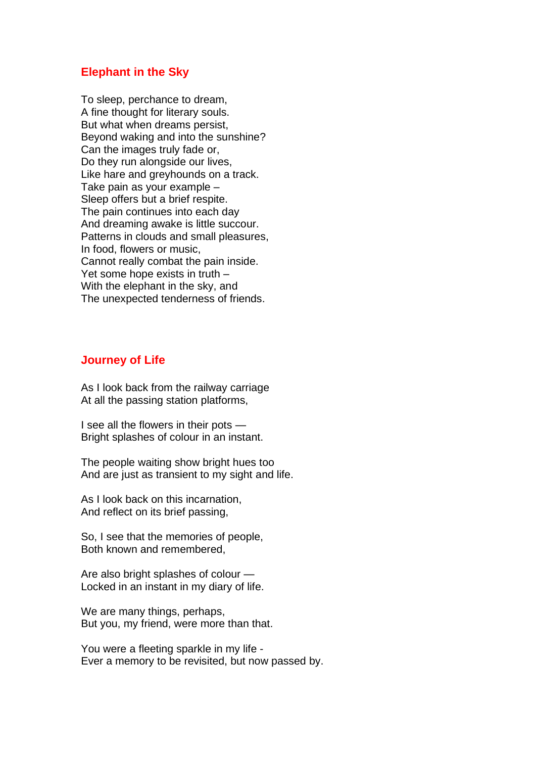#### **Elephant in the Sky**

To sleep, perchance to dream, A fine thought for literary souls. But what when dreams persist, Beyond waking and into the sunshine? Can the images truly fade or, Do they run alongside our lives, Like hare and greyhounds on a track. Take pain as your example – Sleep offers but a brief respite. The pain continues into each day And dreaming awake is little succour. Patterns in clouds and small pleasures, In food, flowers or music, Cannot really combat the pain inside. Yet some hope exists in truth – With the elephant in the sky, and The unexpected tenderness of friends.

## **Journey of Life**

As I look back from the railway carriage At all the passing station platforms,

I see all the flowers in their pots — Bright splashes of colour in an instant.

The people waiting show bright hues too And are just as transient to my sight and life.

As I look back on this incarnation, And reflect on its brief passing,

So, I see that the memories of people, Both known and remembered,

Are also bright splashes of colour — Locked in an instant in my diary of life.

We are many things, perhaps, But you, my friend, were more than that.

You were a fleeting sparkle in my life - Ever a memory to be revisited, but now passed by.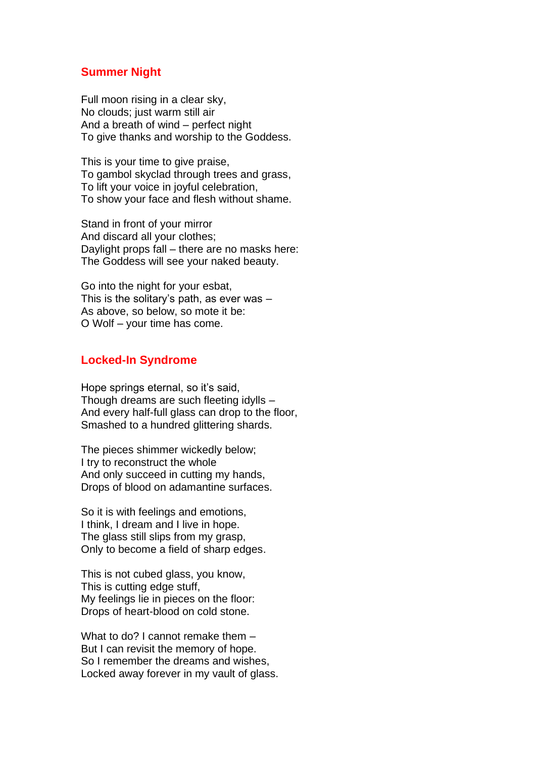## **Summer Night**

Full moon rising in a clear sky, No clouds; just warm still air And a breath of wind – perfect night To give thanks and worship to the Goddess.

This is your time to give praise, To gambol skyclad through trees and grass, To lift your voice in joyful celebration, To show your face and flesh without shame.

Stand in front of your mirror And discard all your clothes; Daylight props fall – there are no masks here: The Goddess will see your naked beauty.

Go into the night for your esbat, This is the solitary's path, as ever was – As above, so below, so mote it be: O Wolf – your time has come.

## **Locked-In Syndrome**

Hope springs eternal, so it's said, Though dreams are such fleeting idylls – And every half-full glass can drop to the floor, Smashed to a hundred glittering shards.

The pieces shimmer wickedly below; I try to reconstruct the whole And only succeed in cutting my hands, Drops of blood on adamantine surfaces.

So it is with feelings and emotions, I think, I dream and I live in hope. The glass still slips from my grasp, Only to become a field of sharp edges.

This is not cubed glass, you know, This is cutting edge stuff, My feelings lie in pieces on the floor: Drops of heart-blood on cold stone.

What to do? I cannot remake them – But I can revisit the memory of hope. So I remember the dreams and wishes, Locked away forever in my vault of glass.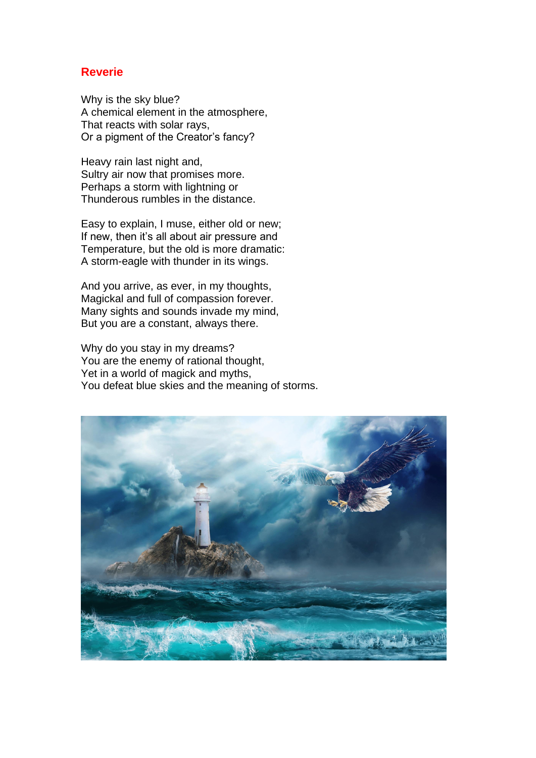## **Reverie**

Why is the sky blue? A chemical element in the atmosphere, That reacts with solar rays, Or a pigment of the Creator's fancy?

Heavy rain last night and, Sultry air now that promises more. Perhaps a storm with lightning or Thunderous rumbles in the distance.

Easy to explain, I muse, either old or new; If new, then it's all about air pressure and Temperature, but the old is more dramatic: A storm-eagle with thunder in its wings.

And you arrive, as ever, in my thoughts, Magickal and full of compassion forever. Many sights and sounds invade my mind, But you are a constant, always there.

Why do you stay in my dreams? You are the enemy of rational thought, Yet in a world of magick and myths, You defeat blue skies and the meaning of storms.

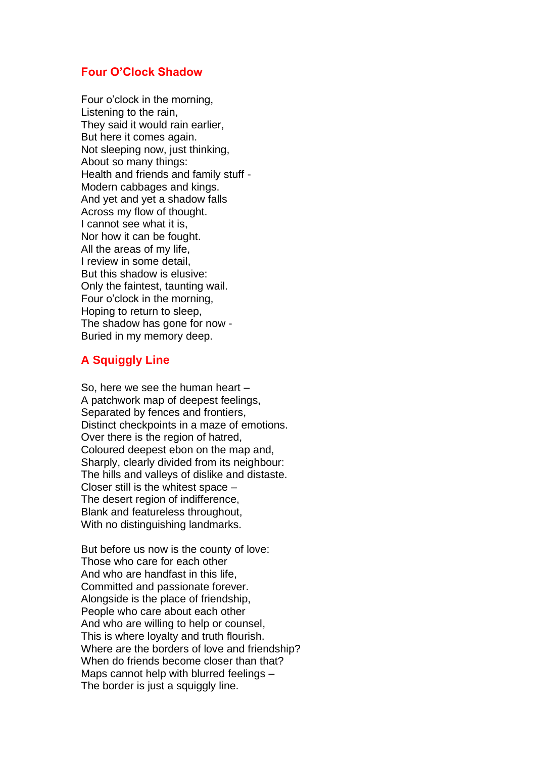## **Four O'Clock Shadow**

Four o'clock in the morning, Listening to the rain, They said it would rain earlier, But here it comes again. Not sleeping now, just thinking, About so many things: Health and friends and family stuff - Modern cabbages and kings. And yet and yet a shadow falls Across my flow of thought. I cannot see what it is, Nor how it can be fought. All the areas of my life, I review in some detail, But this shadow is elusive: Only the faintest, taunting wail. Four o'clock in the morning, Hoping to return to sleep, The shadow has gone for now - Buried in my memory deep.

## **A Squiggly Line**

So, here we see the human heart – A patchwork map of deepest feelings, Separated by fences and frontiers, Distinct checkpoints in a maze of emotions. Over there is the region of hatred, Coloured deepest ebon on the map and, Sharply, clearly divided from its neighbour: The hills and valleys of dislike and distaste. Closer still is the whitest space – The desert region of indifference, Blank and featureless throughout, With no distinguishing landmarks.

But before us now is the county of love: Those who care for each other And who are handfast in this life, Committed and passionate forever. Alongside is the place of friendship, People who care about each other And who are willing to help or counsel, This is where loyalty and truth flourish. Where are the borders of love and friendship? When do friends become closer than that? Maps cannot help with blurred feelings – The border is just a squiggly line.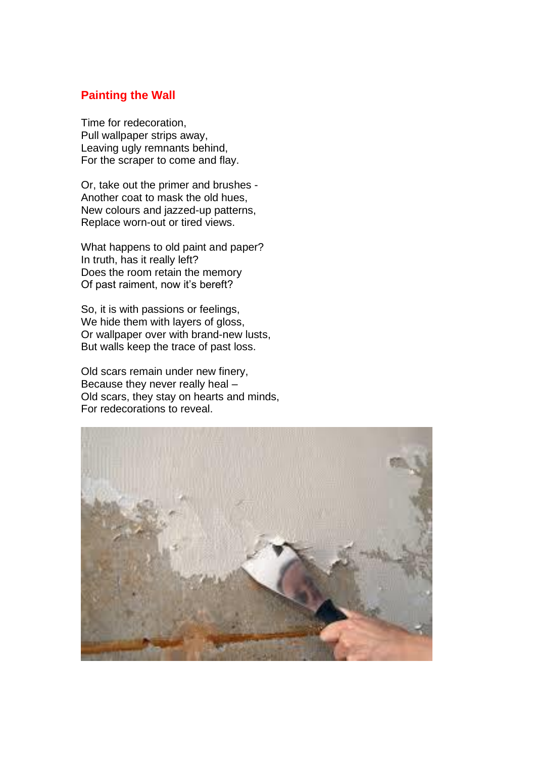## **Painting the Wall**

Time for redecoration, Pull wallpaper strips away, Leaving ugly remnants behind, For the scraper to come and flay.

Or, take out the primer and brushes - Another coat to mask the old hues, New colours and jazzed-up patterns, Replace worn-out or tired views.

What happens to old paint and paper? In truth, has it really left? Does the room retain the memory Of past raiment, now it's bereft?

So, it is with passions or feelings, We hide them with layers of gloss, Or wallpaper over with brand-new lusts, But walls keep the trace of past loss.

Old scars remain under new finery, Because they never really heal – Old scars, they stay on hearts and minds, For redecorations to reveal.

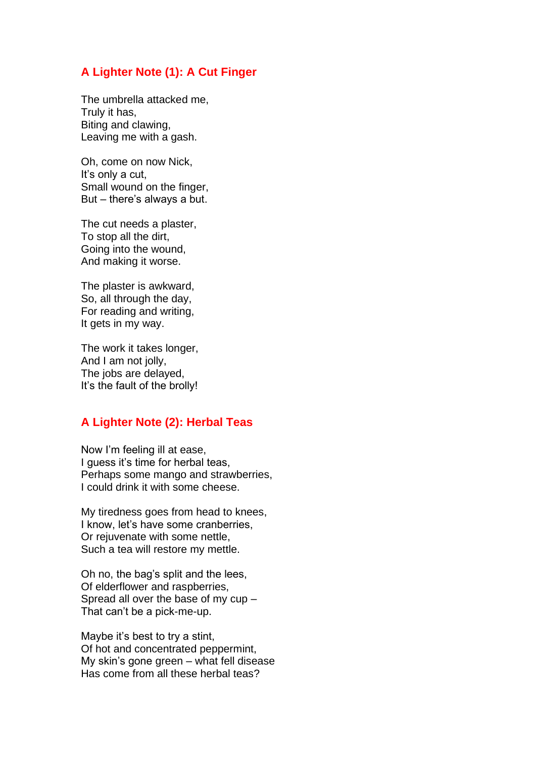## **A Lighter Note (1): A Cut Finger**

The umbrella attacked me, Truly it has, Biting and clawing, Leaving me with a gash.

Oh, come on now Nick, It's only a cut, Small wound on the finger, But – there's always a but.

The cut needs a plaster, To stop all the dirt, Going into the wound, And making it worse.

The plaster is awkward, So, all through the day, For reading and writing, It gets in my way.

The work it takes longer, And I am not jolly, The jobs are delayed, It's the fault of the brolly!

## **A Lighter Note (2): Herbal Teas**

Now I'm feeling ill at ease, I guess it's time for herbal teas, Perhaps some mango and strawberries, I could drink it with some cheese.

My tiredness goes from head to knees, I know, let's have some cranberries, Or rejuvenate with some nettle, Such a tea will restore my mettle.

Oh no, the bag's split and the lees, Of elderflower and raspberries, Spread all over the base of my cup – That can't be a pick-me-up.

Maybe it's best to try a stint, Of hot and concentrated peppermint, My skin's gone green – what fell disease Has come from all these herbal teas?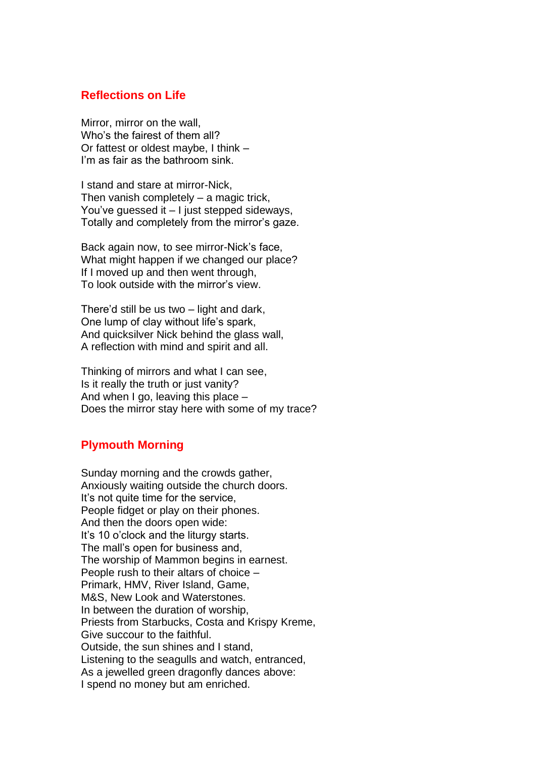## **Reflections on Life**

Mirror, mirror on the wall, Who's the fairest of them all? Or fattest or oldest maybe, I think – I'm as fair as the bathroom sink.

I stand and stare at mirror-Nick, Then vanish completely – a magic trick, You've guessed it – I just stepped sideways, Totally and completely from the mirror's gaze.

Back again now, to see mirror-Nick's face, What might happen if we changed our place? If I moved up and then went through, To look outside with the mirror's view.

There'd still be us two – light and dark, One lump of clay without life's spark, And quicksilver Nick behind the glass wall, A reflection with mind and spirit and all.

Thinking of mirrors and what I can see, Is it really the truth or just vanity? And when I go, leaving this place – Does the mirror stay here with some of my trace?

## **Plymouth Morning**

Sunday morning and the crowds gather, Anxiously waiting outside the church doors. It's not quite time for the service, People fidget or play on their phones. And then the doors open wide: It's 10 o'clock and the liturgy starts. The mall's open for business and, The worship of Mammon begins in earnest. People rush to their altars of choice – Primark, HMV, River Island, Game, M&S, New Look and Waterstones. In between the duration of worship, Priests from Starbucks, Costa and Krispy Kreme, Give succour to the faithful. Outside, the sun shines and I stand, Listening to the seagulls and watch, entranced, As a jewelled green dragonfly dances above: I spend no money but am enriched.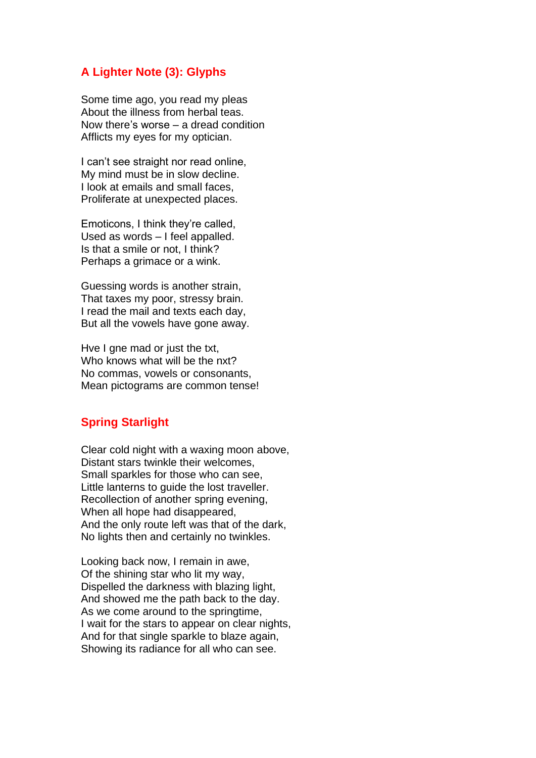## **A Lighter Note (3): Glyphs**

Some time ago, you read my pleas About the illness from herbal teas. Now there's worse – a dread condition Afflicts my eyes for my optician.

I can't see straight nor read online, My mind must be in slow decline. I look at emails and small faces, Proliferate at unexpected places.

Emoticons, I think they're called, Used as words – I feel appalled. Is that a smile or not, I think? Perhaps a grimace or a wink.

Guessing words is another strain, That taxes my poor, stressy brain. I read the mail and texts each day, But all the vowels have gone away.

Hve I gne mad or just the txt, Who knows what will be the nxt? No commas, vowels or consonants, Mean pictograms are common tense!

## **Spring Starlight**

Clear cold night with a waxing moon above, Distant stars twinkle their welcomes, Small sparkles for those who can see, Little lanterns to guide the lost traveller. Recollection of another spring evening, When all hope had disappeared, And the only route left was that of the dark, No lights then and certainly no twinkles.

Looking back now, I remain in awe, Of the shining star who lit my way, Dispelled the darkness with blazing light, And showed me the path back to the day. As we come around to the springtime, I wait for the stars to appear on clear nights, And for that single sparkle to blaze again, Showing its radiance for all who can see.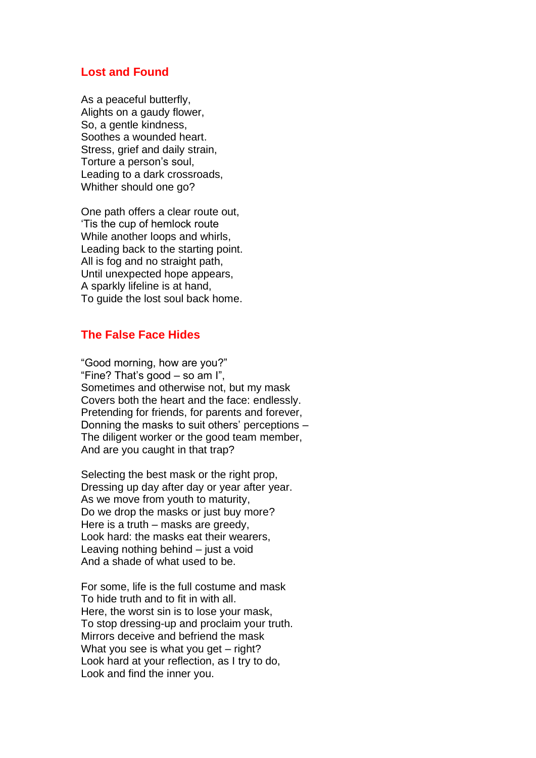### **Lost and Found**

As a peaceful butterfly, Alights on a gaudy flower, So, a gentle kindness, Soothes a wounded heart. Stress, grief and daily strain, Torture a person's soul, Leading to a dark crossroads, Whither should one go?

One path offers a clear route out, 'Tis the cup of hemlock route While another loops and whirls, Leading back to the starting point. All is fog and no straight path, Until unexpected hope appears, A sparkly lifeline is at hand, To guide the lost soul back home.

## **The False Face Hides**

"Good morning, how are you?" "Fine? That's good – so am I", Sometimes and otherwise not, but my mask Covers both the heart and the face: endlessly. Pretending for friends, for parents and forever, Donning the masks to suit others' perceptions – The diligent worker or the good team member, And are you caught in that trap?

Selecting the best mask or the right prop, Dressing up day after day or year after year. As we move from youth to maturity, Do we drop the masks or just buy more? Here is a truth – masks are greedy, Look hard: the masks eat their wearers, Leaving nothing behind – just a void And a shade of what used to be.

For some, life is the full costume and mask To hide truth and to fit in with all. Here, the worst sin is to lose your mask, To stop dressing-up and proclaim your truth. Mirrors deceive and befriend the mask What you see is what you get – right? Look hard at your reflection, as I try to do, Look and find the inner you.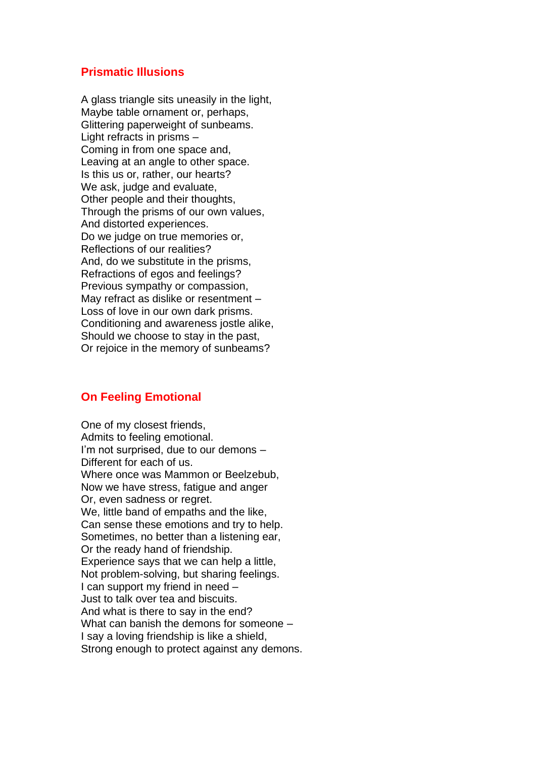## **Prismatic Illusions**

A glass triangle sits uneasily in the light, Maybe table ornament or, perhaps, Glittering paperweight of sunbeams. Light refracts in prisms – Coming in from one space and, Leaving at an angle to other space. Is this us or, rather, our hearts? We ask, judge and evaluate, Other people and their thoughts, Through the prisms of our own values, And distorted experiences. Do we judge on true memories or, Reflections of our realities? And, do we substitute in the prisms, Refractions of egos and feelings? Previous sympathy or compassion, May refract as dislike or resentment – Loss of love in our own dark prisms. Conditioning and awareness jostle alike, Should we choose to stay in the past, Or rejoice in the memory of sunbeams?

## **On Feeling Emotional**

One of my closest friends, Admits to feeling emotional. I'm not surprised, due to our demons – Different for each of us. Where once was Mammon or Beelzebub, Now we have stress, fatigue and anger Or, even sadness or regret. We, little band of empaths and the like, Can sense these emotions and try to help. Sometimes, no better than a listening ear, Or the ready hand of friendship. Experience says that we can help a little, Not problem-solving, but sharing feelings. I can support my friend in need – Just to talk over tea and biscuits. And what is there to say in the end? What can banish the demons for someone – I say a loving friendship is like a shield, Strong enough to protect against any demons.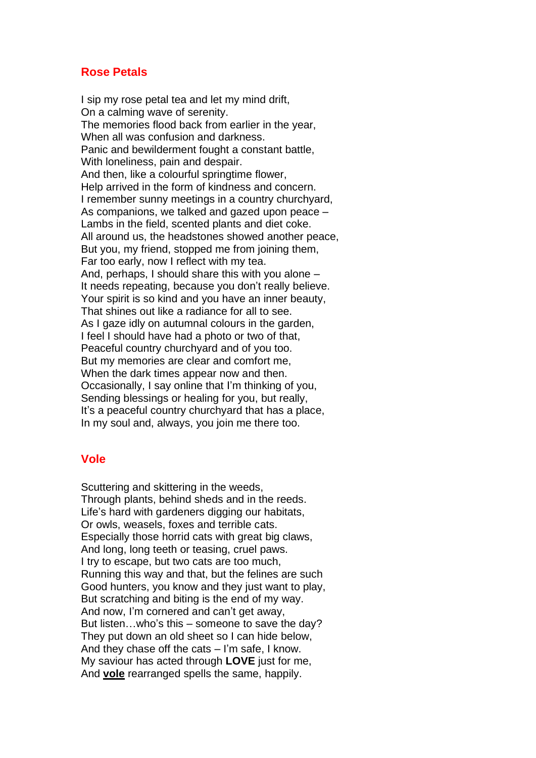## **Rose Petals**

I sip my rose petal tea and let my mind drift, On a calming wave of serenity. The memories flood back from earlier in the year, When all was confusion and darkness. Panic and bewilderment fought a constant battle, With loneliness, pain and despair. And then, like a colourful springtime flower, Help arrived in the form of kindness and concern. I remember sunny meetings in a country churchyard, As companions, we talked and gazed upon peace – Lambs in the field, scented plants and diet coke. All around us, the headstones showed another peace, But you, my friend, stopped me from joining them, Far too early, now I reflect with my tea. And, perhaps, I should share this with you alone – It needs repeating, because you don't really believe. Your spirit is so kind and you have an inner beauty, That shines out like a radiance for all to see. As I gaze idly on autumnal colours in the garden, I feel I should have had a photo or two of that, Peaceful country churchyard and of you too. But my memories are clear and comfort me, When the dark times appear now and then. Occasionally, I say online that I'm thinking of you, Sending blessings or healing for you, but really, It's a peaceful country churchyard that has a place, In my soul and, always, you join me there too.

#### **Vole**

Scuttering and skittering in the weeds, Through plants, behind sheds and in the reeds. Life's hard with gardeners digging our habitats, Or owls, weasels, foxes and terrible cats. Especially those horrid cats with great big claws, And long, long teeth or teasing, cruel paws. I try to escape, but two cats are too much, Running this way and that, but the felines are such Good hunters, you know and they just want to play, But scratching and biting is the end of my way. And now, I'm cornered and can't get away, But listen…who's this – someone to save the day? They put down an old sheet so I can hide below, And they chase off the cats – I'm safe, I know. My saviour has acted through **LOVE** just for me, And **vole** rearranged spells the same, happily.